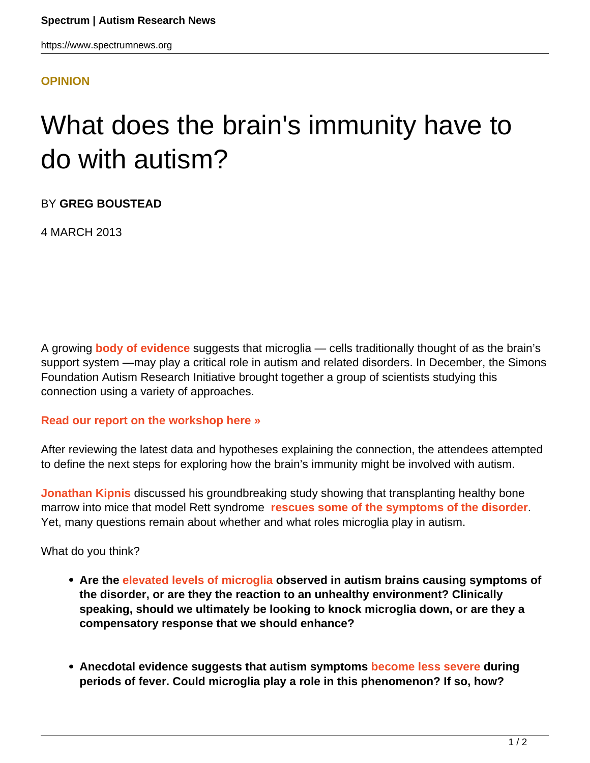## **[OPINION](HTTPS://WWW.SPECTRUMNEWS.ORG/OPINION/)**

## What does the brain's immunity have to do with autism?

BY **GREG BOUSTEAD**

4 MARCH 2013

A growing **[body of evidence](https://www.spectrumnews.org/specials/2012/microglia)** suggests that microglia — cells traditionally thought of as the brain's support system —may play a critical role in autism and related disorders. In December, the Simons Foundation Autism Research Initiative brought together a group of scientists studying this connection using a variety of approaches.

## **[Read our report on the workshop here »](https://www.spectrumnews.org/workshop-reports/2013/workshop-report-glias-role-in-autism)**

After reviewing the latest data and hypotheses explaining the connection, the attendees attempted to define the next steps for exploring how the brain's immunity might be involved with autism.

**[Jonathan Kipnis](http://www.medicine.virginia.edu/basic-science/departments/neurosci/faculty/kipnis)** discussed his groundbreaking study showing that transplanting healthy bone marrow into mice that model Rett syndrome **[rescues some of the symptoms of the disorder](../../../news-and-opinion/news/2012/bone-marrow-transplant-alleviates-rett-symptoms-in-mice)**. Yet, many questions remain about whether and what roles microglia play in autism.

What do you think?

- **Are the [elevated levels of microglia o](https://www.spectrumnews.org/in-brief/2012/molecular-mechanisms-microglia-abnormal-in-autism-brains)bserved in autism brains causing symptoms of the disorder, or are they the reaction to an unhealthy environment? Clinically speaking, should we ultimately be looking to knock microglia down, or are they a compensatory response that we should enhance?**
- **Anecdotal evidence suggests that autism symptoms [become less severe](../../../news-and-opinion/workshop-reports/2010/workshop-report-fever-and-autism) during periods of fever. Could microglia play a role in this phenomenon? If so, how?**